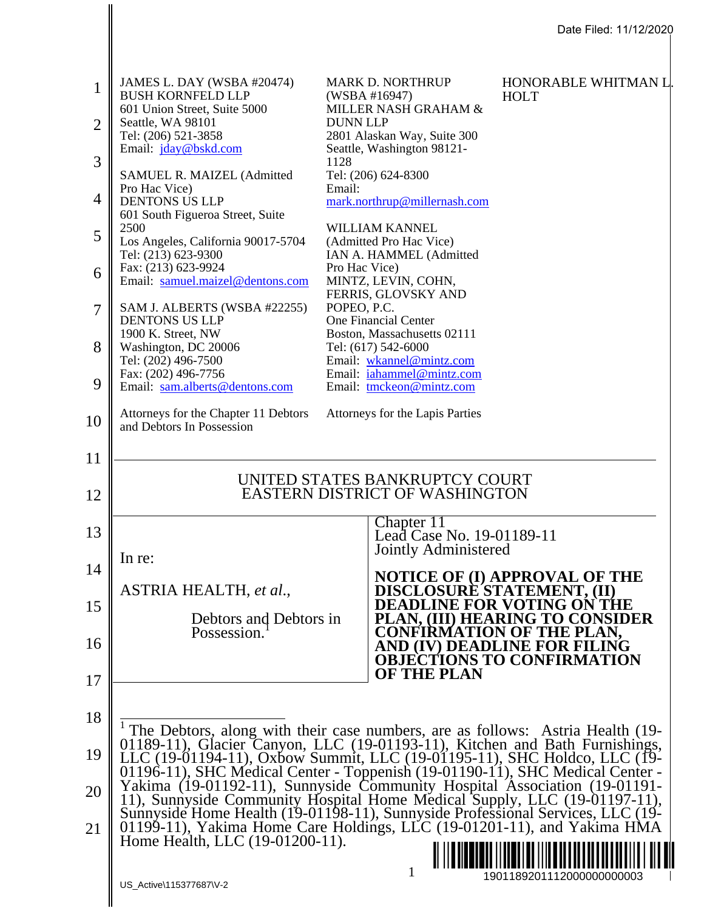|                                                                                            | Date Filed: 11/12/2020                                                                                                                                                                                                                                                                                                                                                                                                                                                                                                                                                                                                                                                                                                      |                                                                   |                                                                                                                                                                                                                                                                                                                                                                                                                                                                                                                                                    |                                                                                                                                                                                                                |  |
|--------------------------------------------------------------------------------------------|-----------------------------------------------------------------------------------------------------------------------------------------------------------------------------------------------------------------------------------------------------------------------------------------------------------------------------------------------------------------------------------------------------------------------------------------------------------------------------------------------------------------------------------------------------------------------------------------------------------------------------------------------------------------------------------------------------------------------------|-------------------------------------------------------------------|----------------------------------------------------------------------------------------------------------------------------------------------------------------------------------------------------------------------------------------------------------------------------------------------------------------------------------------------------------------------------------------------------------------------------------------------------------------------------------------------------------------------------------------------------|----------------------------------------------------------------------------------------------------------------------------------------------------------------------------------------------------------------|--|
| $\mathbf{1}$<br>$\overline{2}$<br>3<br>$\overline{4}$<br>5<br>6<br>7<br>8<br>9<br>10<br>11 | JAMES L. DAY (WSBA #20474)<br><b>BUSH KORNFELD LLP</b><br>601 Union Street, Suite 5000<br>Seattle, WA 98101<br>Tel: (206) 521-3858<br>Email: jday@bskd.com<br>SAMUEL R. MAIZEL (Admitted<br>Pro Hac Vice)<br><b>DENTONS US LLP</b><br>601 South Figueroa Street, Suite<br>2500<br>Los Angeles, California 90017-5704<br>Tel: (213) 623-9300<br>Fax: (213) 623-9924<br>Email: samuel.maizel@dentons.com<br>SAM J. ALBERTS (WSBA #22255)<br><b>DENTONS US LLP</b><br>1900 K. Street, NW<br>Washington, DC 20006<br>Tel: (202) 496-7500<br>Fax: (202) 496-7756<br>Email: sam.alberts@dentons.com<br>Attorneys for the Chapter 11 Debtors<br>and Debtors In Possession                                                          | <b>DUNN LLP</b><br>1128<br>Email:<br>Pro Hac Vice)<br>POPEO, P.C. | <b>MARK D. NORTHRUP</b><br>(WSBA #16947)<br>MILLER NASH GRAHAM &<br>2801 Alaskan Way, Suite 300<br>Seattle, Washington 98121-<br>Tel: (206) 624-8300<br>mark.northrup@millernash.com<br>WILLIAM KANNEL<br>(Admitted Pro Hac Vice)<br>IAN A. HAMMEL (Admitted<br>MINTZ, LEVIN, COHN,<br>FERRIS, GLOVSKY AND<br>One Financial Center<br>Boston, Massachusetts 02111<br>Tel: (617) 542-6000<br>Email: wkannel@mintz.com<br>Email: iahammel@mintz.com<br>Email: tmckeon@mintz.com<br>Attorneys for the Lapis Parties<br>UNITED STATES BANKRUPTCY COURT | HONORABLE WHITMAN L<br><b>HOLT</b>                                                                                                                                                                             |  |
| 12<br>13<br>14<br>15<br>16<br>17<br>18<br>19<br>20<br>21                                   | In re:<br>ASTRIA HEALTH, et al.,<br>Debtors and Debtors in<br>Possession.<br>The Debtors, along with their case numbers, are as follows: Astria Health (19-<br>01189-11), Glacier Canyon, LLC (19-01193-11), Kitchen and Bath Furnishings, LLC (19-01194-11), Oxbow Summit, LLC (19-01195-11), SHC Holdco, LLC (19-<br>01196-11), SHC Medical Center - Toppenish (19-01190-11), SHC Medical Center -<br>Yakima (19-01192-11), Sunnyside Community Hospital Association (19-01191-<br>11), Sunnyside Community Hospital Home Medical Supply, LLC (19-01197-11),<br>Sunnyside Home Health (19-01198-11), Sunnyside Professional Services, LLC (19-<br>01199-11), Yakima Home Care Holdings, LLC (19-01201-11), and Yakima HMA |                                                                   | <b>EASTERN DISTRICT OF WASHINGTON</b><br>Chapter 11<br>Lead Case No. 19-01189-11<br>Jointly Administered<br>DISCLOSURE STATEMENT, (II)<br><b>OF THE PLAN</b>                                                                                                                                                                                                                                                                                                                                                                                       | NOTICE OF (I) APPROVAL OF THE<br><b>DEADLINE FOR VOTING ON THE</b><br>PLAN, (III) HEARING TO CONSIDER<br><b>CONFIRMATION OF THE PLAN,</b><br>AND (IV) DEADLINE FOR FILING<br><b>OBJECTIONS TO CONFIRMATION</b> |  |
|                                                                                            | Home Health, LLC (19-01200-11).<br>1<br>US_Active\115377687\V-2                                                                                                                                                                                                                                                                                                                                                                                                                                                                                                                                                                                                                                                             |                                                                   |                                                                                                                                                                                                                                                                                                                                                                                                                                                                                                                                                    | 1901189201112000000000003                                                                                                                                                                                      |  |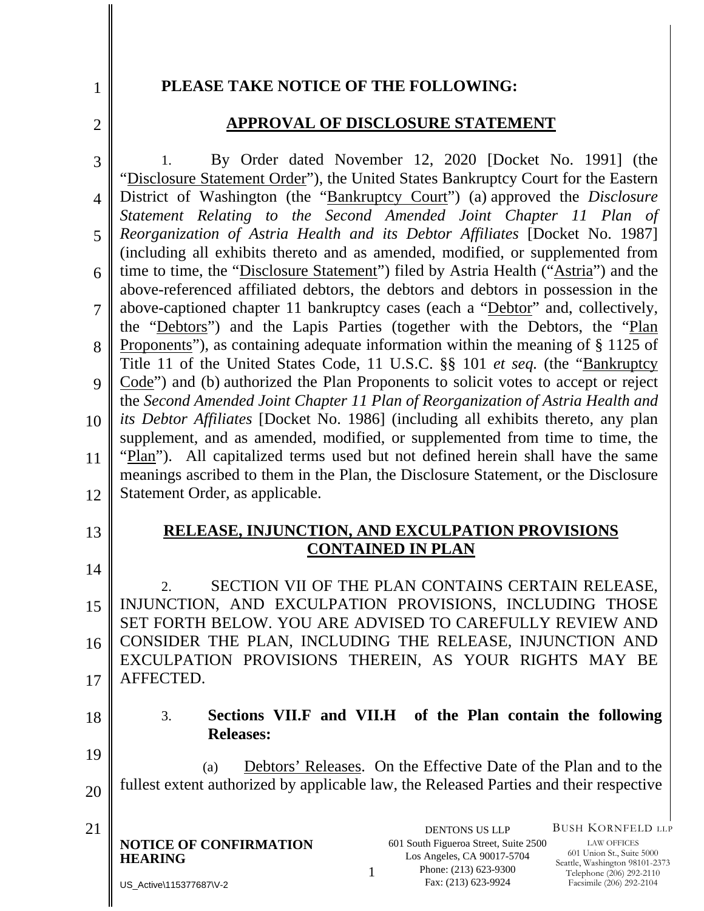#### **PLEASE TAKE NOTICE OF THE FOLLOWING:**

2

1

#### **APPROVAL OF DISCLOSURE STATEMENT**

3 4 5 6 7 8 9 10 11 12 1. By Order dated November 12, 2020 [Docket No. 1991] (the "Disclosure Statement Order"), the United States Bankruptcy Court for the Eastern District of Washington (the "Bankruptcy Court") (a) approved the *Disclosure Statement Relating to the Second Amended Joint Chapter 11 Plan of Reorganization of Astria Health and its Debtor Affiliates* [Docket No. 1987] (including all exhibits thereto and as amended, modified, or supplemented from time to time, the "Disclosure Statement") filed by Astria Health ("Astria") and the above-referenced affiliated debtors, the debtors and debtors in possession in the above-captioned chapter 11 bankruptcy cases (each a "Debtor" and, collectively, the "Debtors") and the Lapis Parties (together with the Debtors, the "Plan Proponents"), as containing adequate information within the meaning of § 1125 of Title 11 of the United States Code, 11 U.S.C. §§ 101 *et seq.* (the "Bankruptcy Code") and (b) authorized the Plan Proponents to solicit votes to accept or reject the *Second Amended Joint Chapter 11 Plan of Reorganization of Astria Health and its Debtor Affiliates* [Docket No. 1986] (including all exhibits thereto, any plan supplement, and as amended, modified, or supplemented from time to time, the "Plan"). All capitalized terms used but not defined herein shall have the same meanings ascribed to them in the Plan, the Disclosure Statement, or the Disclosure Statement Order, as applicable.

# 13

14

## **RELEASE, INJUNCTION, AND EXCULPATION PROVISIONS CONTAINED IN PLAN**

15 16 17 2. SECTION VII OF THE PLAN CONTAINS CERTAIN RELEASE, INJUNCTION, AND EXCULPATION PROVISIONS, INCLUDING THOSE SET FORTH BELOW. YOU ARE ADVISED TO CAREFULLY REVIEW AND CONSIDER THE PLAN, INCLUDING THE RELEASE, INJUNCTION AND EXCULPATION PROVISIONS THEREIN, AS YOUR RIGHTS MAY BE AFFECTED.

18

### 3. **Sections VII.F and VII.H of the Plan contain the following Releases:**

19 20 (a) Debtors' Releases. On the Effective Date of the Plan and to the fullest extent authorized by applicable law, the Released Parties and their respective

| 21 |                        | <b>DENTONS US LLP</b>         |
|----|------------------------|-------------------------------|
|    | NOTICE OF CONFIRMATION | 601 South Figueroa Street, Su |
|    | <b>HEARING</b>         | Los Angeles, CA 90017-5       |
|    |                        | Phone: (213) 623-930          |
|    |                        |                               |

US\_Active\115377687\V-2

601 South Figueroa Street, Suite 2500 Los Angeles, CA 90017-5704 Phone: (213) 623-9300 Fax: (213) 623-9924

BUSH KORNFELD LLP

LAW OFFICES 601 Union St., Suite 5000 Seattle, Washington 98101-2373 Telephone (206) 292-2110 Facsimile (206) 292-2104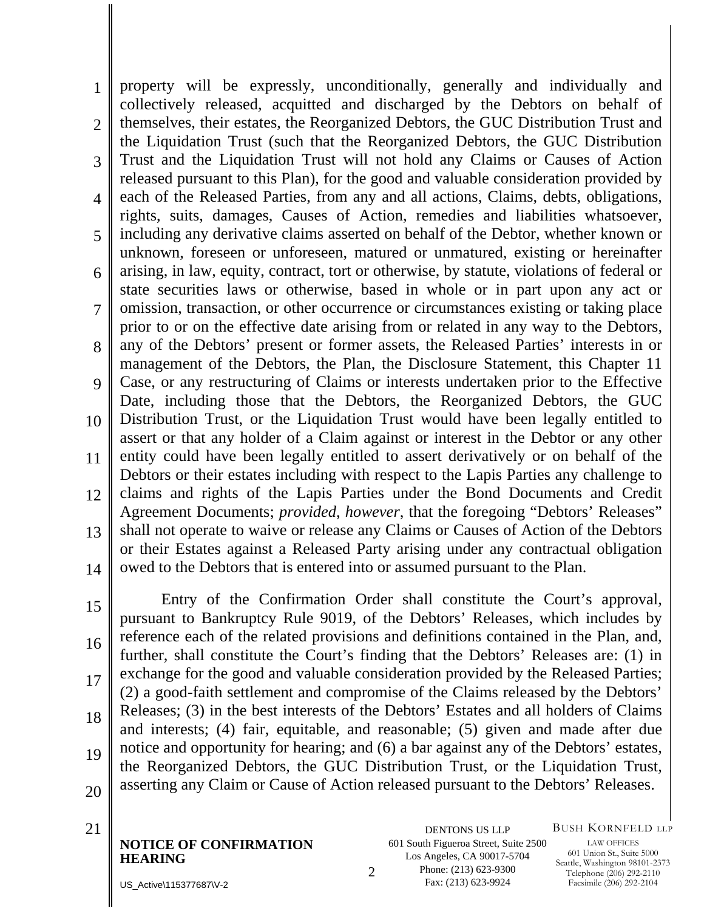1  $\mathcal{D}_{\mathcal{L}}$ 3 4 5 6 7 8 9 10 11 12 13 14 property will be expressly, unconditionally, generally and individually and collectively released, acquitted and discharged by the Debtors on behalf of themselves, their estates, the Reorganized Debtors, the GUC Distribution Trust and the Liquidation Trust (such that the Reorganized Debtors, the GUC Distribution Trust and the Liquidation Trust will not hold any Claims or Causes of Action released pursuant to this Plan), for the good and valuable consideration provided by each of the Released Parties, from any and all actions, Claims, debts, obligations, rights, suits, damages, Causes of Action, remedies and liabilities whatsoever, including any derivative claims asserted on behalf of the Debtor, whether known or unknown, foreseen or unforeseen, matured or unmatured, existing or hereinafter arising, in law, equity, contract, tort or otherwise, by statute, violations of federal or state securities laws or otherwise, based in whole or in part upon any act or omission, transaction, or other occurrence or circumstances existing or taking place prior to or on the effective date arising from or related in any way to the Debtors, any of the Debtors' present or former assets, the Released Parties' interests in or management of the Debtors, the Plan, the Disclosure Statement, this Chapter 11 Case, or any restructuring of Claims or interests undertaken prior to the Effective Date, including those that the Debtors, the Reorganized Debtors, the GUC Distribution Trust, or the Liquidation Trust would have been legally entitled to assert or that any holder of a Claim against or interest in the Debtor or any other entity could have been legally entitled to assert derivatively or on behalf of the Debtors or their estates including with respect to the Lapis Parties any challenge to claims and rights of the Lapis Parties under the Bond Documents and Credit Agreement Documents; *provided*, *however*, that the foregoing "Debtors' Releases" shall not operate to waive or release any Claims or Causes of Action of the Debtors or their Estates against a Released Party arising under any contractual obligation owed to the Debtors that is entered into or assumed pursuant to the Plan.

15 16 17 18 19 20 Entry of the Confirmation Order shall constitute the Court's approval, pursuant to Bankruptcy Rule 9019, of the Debtors' Releases, which includes by reference each of the related provisions and definitions contained in the Plan, and, further, shall constitute the Court's finding that the Debtors' Releases are: (1) in exchange for the good and valuable consideration provided by the Released Parties; (2) a good-faith settlement and compromise of the Claims released by the Debtors' Releases; (3) in the best interests of the Debtors' Estates and all holders of Claims and interests; (4) fair, equitable, and reasonable; (5) given and made after due notice and opportunity for hearing; and (6) a bar against any of the Debtors' estates, the Reorganized Debtors, the GUC Distribution Trust, or the Liquidation Trust, asserting any Claim or Cause of Action released pursuant to the Debtors' Releases.

**NOTICE OF CONFIRMATION HEARING** 2

21 DENTONS US LLP 601 South Figueroa Street, Suite 2500 Los Angeles, CA 90017-5704 Phone: (213) 623-9300 Fax: (213) 623-9924

BUSH KORNFELD LLP

LAW OFFICES 601 Union St., Suite 5000 Seattle, Washington 98101-2373 Telephone (206) 292-2110 Facsimile (206) 292-2104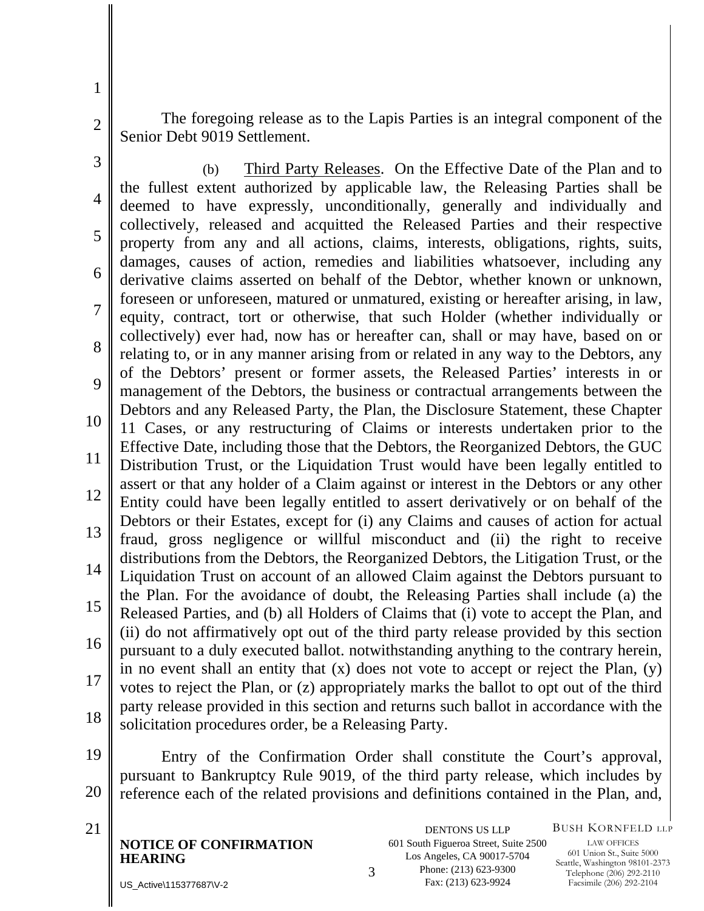The foregoing release as to the Lapis Parties is an integral component of the Senior Debt 9019 Settlement.

1

2

3 4 5 6 7 8 9 10 11 12 13 14 15 16 17 18 (b) Third Party Releases. On the Effective Date of the Plan and to the fullest extent authorized by applicable law, the Releasing Parties shall be deemed to have expressly, unconditionally, generally and individually and collectively, released and acquitted the Released Parties and their respective property from any and all actions, claims, interests, obligations, rights, suits, damages, causes of action, remedies and liabilities whatsoever, including any derivative claims asserted on behalf of the Debtor, whether known or unknown, foreseen or unforeseen, matured or unmatured, existing or hereafter arising, in law, equity, contract, tort or otherwise, that such Holder (whether individually or collectively) ever had, now has or hereafter can, shall or may have, based on or relating to, or in any manner arising from or related in any way to the Debtors, any of the Debtors' present or former assets, the Released Parties' interests in or management of the Debtors, the business or contractual arrangements between the Debtors and any Released Party, the Plan, the Disclosure Statement, these Chapter 11 Cases, or any restructuring of Claims or interests undertaken prior to the Effective Date, including those that the Debtors, the Reorganized Debtors, the GUC Distribution Trust, or the Liquidation Trust would have been legally entitled to assert or that any holder of a Claim against or interest in the Debtors or any other Entity could have been legally entitled to assert derivatively or on behalf of the Debtors or their Estates, except for (i) any Claims and causes of action for actual fraud, gross negligence or willful misconduct and (ii) the right to receive distributions from the Debtors, the Reorganized Debtors, the Litigation Trust, or the Liquidation Trust on account of an allowed Claim against the Debtors pursuant to the Plan. For the avoidance of doubt, the Releasing Parties shall include (a) the Released Parties, and (b) all Holders of Claims that (i) vote to accept the Plan, and (ii) do not affirmatively opt out of the third party release provided by this section pursuant to a duly executed ballot. notwithstanding anything to the contrary herein, in no event shall an entity that  $(x)$  does not vote to accept or reject the Plan,  $(y)$ votes to reject the Plan, or (z) appropriately marks the ballot to opt out of the third party release provided in this section and returns such ballot in accordance with the solicitation procedures order, be a Releasing Party.

19 20 Entry of the Confirmation Order shall constitute the Court's approval, pursuant to Bankruptcy Rule 9019, of the third party release, which includes by reference each of the related provisions and definitions contained in the Plan, and,

**NOTICE OF CONFIRMATION HEARING** 321 DENTONS US LLP

601 South Figueroa Street, Suite 2500 Los Angeles, CA 90017-5704 Phone: (213) 623-9300 Fax: (213) 623-9924

BUSH KORNFELD LLP

LAW OFFICES 601 Union St., Suite 5000 Seattle, Washington 98101-2373 Telephone (206) 292-2110 Facsimile (206) 292-2104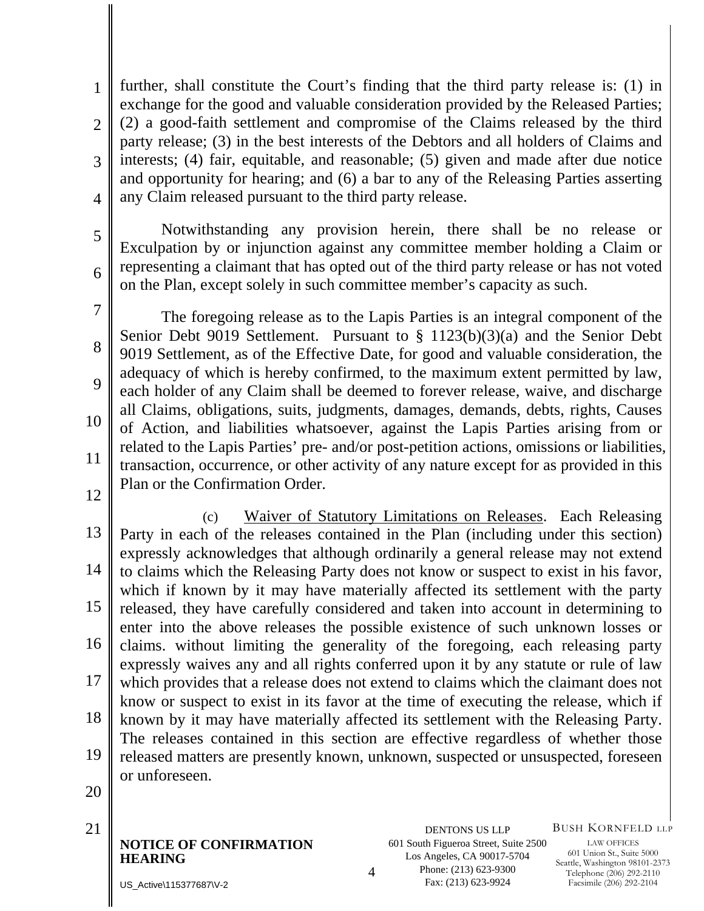1  $\mathcal{D}_{\mathcal{L}}$ 3 4 further, shall constitute the Court's finding that the third party release is: (1) in exchange for the good and valuable consideration provided by the Released Parties; (2) a good-faith settlement and compromise of the Claims released by the third party release; (3) in the best interests of the Debtors and all holders of Claims and interests; (4) fair, equitable, and reasonable; (5) given and made after due notice and opportunity for hearing; and (6) a bar to any of the Releasing Parties asserting any Claim released pursuant to the third party release.

 Notwithstanding any provision herein, there shall be no release or Exculpation by or injunction against any committee member holding a Claim or representing a claimant that has opted out of the third party release or has not voted on the Plan, except solely in such committee member's capacity as such.

7 8 9 10 11 The foregoing release as to the Lapis Parties is an integral component of the Senior Debt 9019 Settlement. Pursuant to § 1123(b)(3)(a) and the Senior Debt 9019 Settlement, as of the Effective Date, for good and valuable consideration, the adequacy of which is hereby confirmed, to the maximum extent permitted by law, each holder of any Claim shall be deemed to forever release, waive, and discharge all Claims, obligations, suits, judgments, damages, demands, debts, rights, Causes of Action, and liabilities whatsoever, against the Lapis Parties arising from or related to the Lapis Parties' pre- and/or post-petition actions, omissions or liabilities, transaction, occurrence, or other activity of any nature except for as provided in this Plan or the Confirmation Order.

12

5

6

13 14 15 16 17 18 19 (c) Waiver of Statutory Limitations on Releases. Each Releasing Party in each of the releases contained in the Plan (including under this section) expressly acknowledges that although ordinarily a general release may not extend to claims which the Releasing Party does not know or suspect to exist in his favor, which if known by it may have materially affected its settlement with the party released, they have carefully considered and taken into account in determining to enter into the above releases the possible existence of such unknown losses or claims. without limiting the generality of the foregoing, each releasing party expressly waives any and all rights conferred upon it by any statute or rule of law which provides that a release does not extend to claims which the claimant does not know or suspect to exist in its favor at the time of executing the release, which if known by it may have materially affected its settlement with the Releasing Party. The releases contained in this section are effective regardless of whether those released matters are presently known, unknown, suspected or unsuspected, foreseen or unforeseen.

20

**NOTICE OF CONFIRMATION HEARING**  21 DENTONS US LLP BUSH KORNFELD LLP

LAW OFFICES 601 Union St., Suite 5000 Seattle, Washington 98101-2373 Telephone (206) 292-2110 Facsimile (206) 292-2104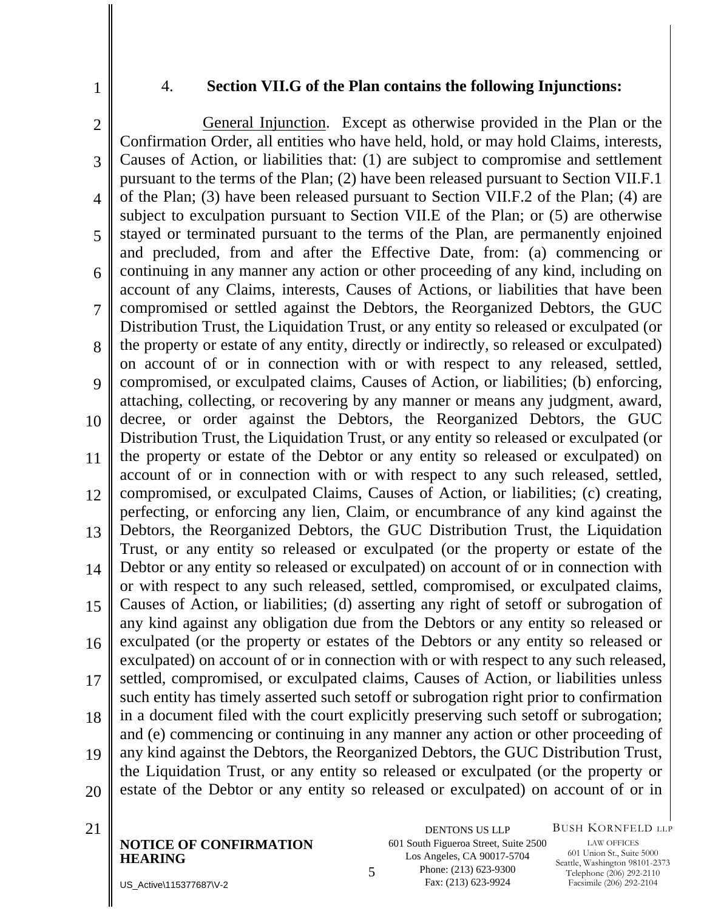1

#### 4. **Section VII.G of the Plan contains the following Injunctions:**

2 3 4 5 6 7 8  $\mathbf Q$ 10 11 12 13 14 15 16 17 18 19 20 General Injunction. Except as otherwise provided in the Plan or the Confirmation Order, all entities who have held, hold, or may hold Claims, interests, Causes of Action, or liabilities that: (1) are subject to compromise and settlement pursuant to the terms of the Plan; (2) have been released pursuant to Section VII.F.1 of the Plan; (3) have been released pursuant to Section VII.F.2 of the Plan; (4) are subject to exculpation pursuant to Section VII.E of the Plan; or (5) are otherwise stayed or terminated pursuant to the terms of the Plan, are permanently enjoined and precluded, from and after the Effective Date, from: (a) commencing or continuing in any manner any action or other proceeding of any kind, including on account of any Claims, interests, Causes of Actions, or liabilities that have been compromised or settled against the Debtors, the Reorganized Debtors, the GUC Distribution Trust, the Liquidation Trust, or any entity so released or exculpated (or the property or estate of any entity, directly or indirectly, so released or exculpated) on account of or in connection with or with respect to any released, settled, compromised, or exculpated claims, Causes of Action, or liabilities; (b) enforcing, attaching, collecting, or recovering by any manner or means any judgment, award, decree, or order against the Debtors, the Reorganized Debtors, the GUC Distribution Trust, the Liquidation Trust, or any entity so released or exculpated (or the property or estate of the Debtor or any entity so released or exculpated) on account of or in connection with or with respect to any such released, settled, compromised, or exculpated Claims, Causes of Action, or liabilities; (c) creating, perfecting, or enforcing any lien, Claim, or encumbrance of any kind against the Debtors, the Reorganized Debtors, the GUC Distribution Trust, the Liquidation Trust, or any entity so released or exculpated (or the property or estate of the Debtor or any entity so released or exculpated) on account of or in connection with or with respect to any such released, settled, compromised, or exculpated claims, Causes of Action, or liabilities; (d) asserting any right of setoff or subrogation of any kind against any obligation due from the Debtors or any entity so released or exculpated (or the property or estates of the Debtors or any entity so released or exculpated) on account of or in connection with or with respect to any such released, settled, compromised, or exculpated claims, Causes of Action, or liabilities unless such entity has timely asserted such setoff or subrogation right prior to confirmation in a document filed with the court explicitly preserving such setoff or subrogation; and (e) commencing or continuing in any manner any action or other proceeding of any kind against the Debtors, the Reorganized Debtors, the GUC Distribution Trust, the Liquidation Trust, or any entity so released or exculpated (or the property or estate of the Debtor or any entity so released or exculpated) on account of or in

**NOTICE OF CONFIRMATION HEARING** 5

21 DENTONS US LLP 601 South Figueroa Street, Suite 2500 Los Angeles, CA 90017-5704 Phone: (213) 623-9300 Fax: (213) 623-9924

BUSH KORNFELD LLP

LAW OFFICES 601 Union St., Suite 5000 Seattle, Washington 98101-2373 Telephone (206) 292-2110 Facsimile (206) 292-2104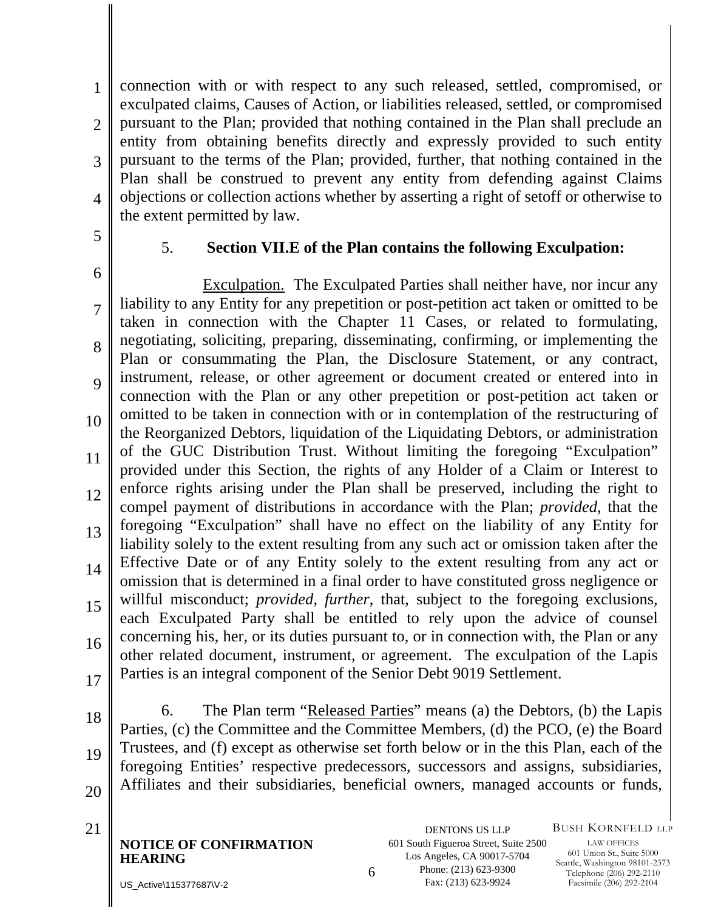1  $\mathcal{D}_{\mathcal{L}}$ 3 4 connection with or with respect to any such released, settled, compromised, or exculpated claims, Causes of Action, or liabilities released, settled, or compromised pursuant to the Plan; provided that nothing contained in the Plan shall preclude an entity from obtaining benefits directly and expressly provided to such entity pursuant to the terms of the Plan; provided, further, that nothing contained in the Plan shall be construed to prevent any entity from defending against Claims objections or collection actions whether by asserting a right of setoff or otherwise to the extent permitted by law.

5

#### 5. **Section VII.E of the Plan contains the following Exculpation:**

6 7 8 9 10 11 12 13 14 15 16 17 Exculpation. The Exculpated Parties shall neither have, nor incur any liability to any Entity for any prepetition or post-petition act taken or omitted to be taken in connection with the Chapter 11 Cases, or related to formulating, negotiating, soliciting, preparing, disseminating, confirming, or implementing the Plan or consummating the Plan, the Disclosure Statement, or any contract, instrument, release, or other agreement or document created or entered into in connection with the Plan or any other prepetition or post-petition act taken or omitted to be taken in connection with or in contemplation of the restructuring of the Reorganized Debtors, liquidation of the Liquidating Debtors, or administration of the GUC Distribution Trust. Without limiting the foregoing "Exculpation" provided under this Section, the rights of any Holder of a Claim or Interest to enforce rights arising under the Plan shall be preserved, including the right to compel payment of distributions in accordance with the Plan; *provided*, that the foregoing "Exculpation" shall have no effect on the liability of any Entity for liability solely to the extent resulting from any such act or omission taken after the Effective Date or of any Entity solely to the extent resulting from any act or omission that is determined in a final order to have constituted gross negligence or willful misconduct; *provided*, *further*, that, subject to the foregoing exclusions, each Exculpated Party shall be entitled to rely upon the advice of counsel concerning his, her, or its duties pursuant to, or in connection with, the Plan or any other related document, instrument, or agreement. The exculpation of the Lapis Parties is an integral component of the Senior Debt 9019 Settlement.

18 19 20 6. The Plan term "Released Parties" means (a) the Debtors, (b) the Lapis Parties, (c) the Committee and the Committee Members, (d) the PCO, (e) the Board Trustees, and (f) except as otherwise set forth below or in the this Plan, each of the foregoing Entities' respective predecessors, successors and assigns, subsidiaries, Affiliates and their subsidiaries, beneficial owners, managed accounts or funds,

**NOTICE OF CONFIRMATION HEARING** 6

21 DENTONS US LLP 601 South Figueroa Street, Suite 2500 Los Angeles, CA 90017-5704 Phone: (213) 623-9300 Fax: (213) 623-9924

BUSH KORNFELD LLP

LAW OFFICES 601 Union St., Suite 5000 Seattle, Washington 98101-2373 Telephone (206) 292-2110 Facsimile (206) 292-2104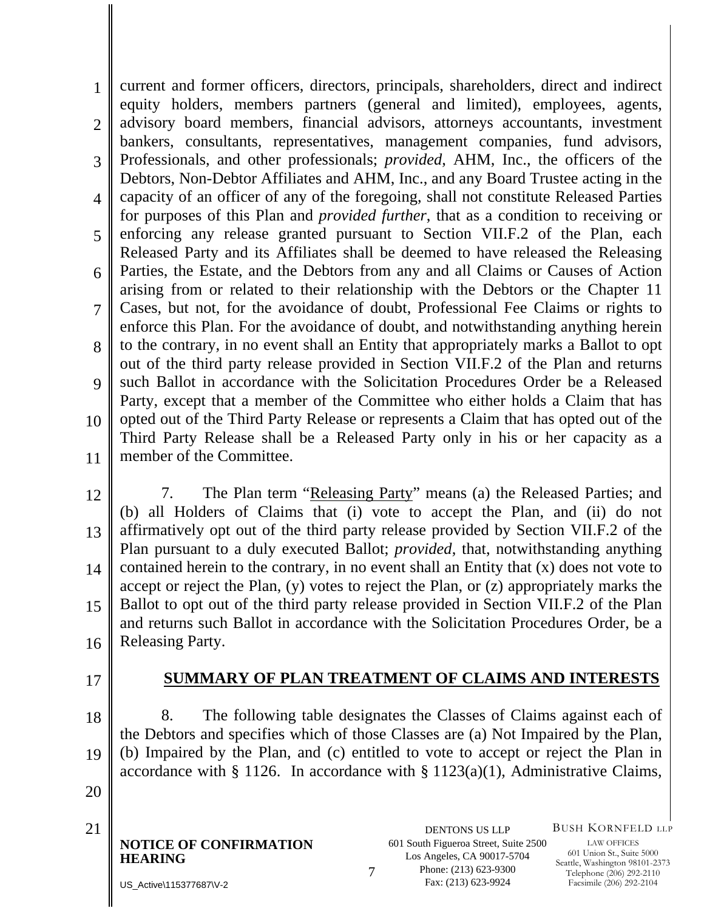1  $\mathcal{D}_{\mathcal{L}}$ 3 4 5 6 7 8 9 10 11 current and former officers, directors, principals, shareholders, direct and indirect equity holders, members partners (general and limited), employees, agents, advisory board members, financial advisors, attorneys accountants, investment bankers, consultants, representatives, management companies, fund advisors, Professionals, and other professionals; *provided*, AHM, Inc., the officers of the Debtors, Non-Debtor Affiliates and AHM, Inc., and any Board Trustee acting in the capacity of an officer of any of the foregoing, shall not constitute Released Parties for purposes of this Plan and *provided further*, that as a condition to receiving or enforcing any release granted pursuant to Section VII.F.2 of the Plan, each Released Party and its Affiliates shall be deemed to have released the Releasing Parties, the Estate, and the Debtors from any and all Claims or Causes of Action arising from or related to their relationship with the Debtors or the Chapter 11 Cases, but not, for the avoidance of doubt, Professional Fee Claims or rights to enforce this Plan. For the avoidance of doubt, and notwithstanding anything herein to the contrary, in no event shall an Entity that appropriately marks a Ballot to opt out of the third party release provided in Section VII.F.2 of the Plan and returns such Ballot in accordance with the Solicitation Procedures Order be a Released Party, except that a member of the Committee who either holds a Claim that has opted out of the Third Party Release or represents a Claim that has opted out of the Third Party Release shall be a Released Party only in his or her capacity as a member of the Committee.

- 12 13 14 15 16 7. The Plan term "Releasing Party" means (a) the Released Parties; and (b) all Holders of Claims that (i) vote to accept the Plan, and (ii) do not affirmatively opt out of the third party release provided by Section VII.F.2 of the Plan pursuant to a duly executed Ballot; *provided*, that, notwithstanding anything contained herein to the contrary, in no event shall an Entity that (x) does not vote to accept or reject the Plan, (y) votes to reject the Plan, or (z) appropriately marks the Ballot to opt out of the third party release provided in Section VII.F.2 of the Plan and returns such Ballot in accordance with the Solicitation Procedures Order, be a Releasing Party.
- 17

#### **SUMMARY OF PLAN TREATMENT OF CLAIMS AND INTERESTS**

18 19 8. The following table designates the Classes of Claims against each of the Debtors and specifies which of those Classes are (a) Not Impaired by the Plan, (b) Impaired by the Plan, and (c) entitled to vote to accept or reject the Plan in accordance with § 1126. In accordance with § 1123(a)(1), Administrative Claims,

- 20
- 

**NOTICE OF CONFIRMATION HEARING** 721 DENTONS US LLP BUSH KORNFELD LLP

LAW OFFICES 601 Union St., Suite 5000 Seattle, Washington 98101-2373 Telephone (206) 292-2110 Facsimile (206) 292-2104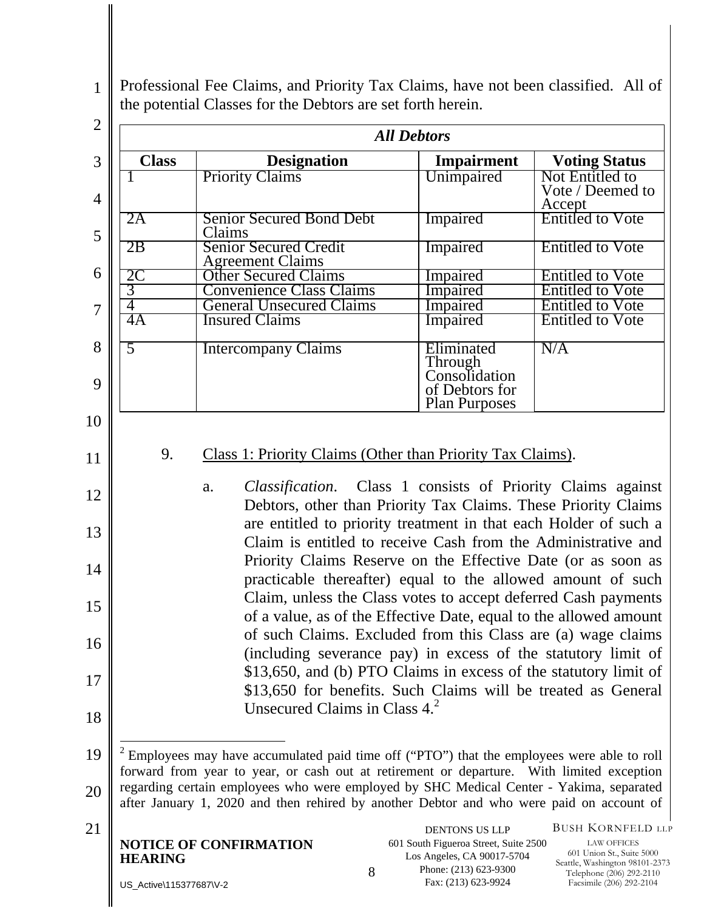1 Professional Fee Claims, and Priority Tax Claims, have not been classified. All of the potential Classes for the Debtors are set forth herein.

| <b>Class</b><br><b>Designation</b><br><b>Priority Claims</b><br><b>Senior Secured Bond Debt</b><br>2A<br>Claims<br>2B<br><b>Senior Secured Credit</b><br><b>Agreement Claims</b><br>2C<br><b>Other Secured Claims</b><br>3<br><b>Convenience Class Claims</b><br>$\overline{4}$<br><b>General Unsecured Claims</b><br>4A<br><b>Insured Claims</b><br>$\overline{5}$<br><b>Intercompany Claims</b><br>9.<br>Class 1: Priority Claims (Other than Priority Tax Claims).<br>a.                                                                                                                                                                                                                                                                                                                                                                                                                                                                            | <b>Impairment</b><br>Unimpaired<br>Impaired<br>Impaired<br>Impaired<br>Impaired<br>Impaired<br>Impaired<br>Eliminated<br>Through<br>Consolidation<br>of Debtors for<br><b>Plan Purposes</b> | <b>Voting Status</b><br>Not Entitled to<br>Vote / Deemed to<br>Accept<br><b>Entitled to Vote</b><br><b>Entitled to Vote</b><br><b>Entitled to Vote</b><br><b>Entitled to Vote</b><br><b>Entitled to Vote</b><br><b>Entitled to Vote</b><br>N/A |  |
|--------------------------------------------------------------------------------------------------------------------------------------------------------------------------------------------------------------------------------------------------------------------------------------------------------------------------------------------------------------------------------------------------------------------------------------------------------------------------------------------------------------------------------------------------------------------------------------------------------------------------------------------------------------------------------------------------------------------------------------------------------------------------------------------------------------------------------------------------------------------------------------------------------------------------------------------------------|---------------------------------------------------------------------------------------------------------------------------------------------------------------------------------------------|------------------------------------------------------------------------------------------------------------------------------------------------------------------------------------------------------------------------------------------------|--|
|                                                                                                                                                                                                                                                                                                                                                                                                                                                                                                                                                                                                                                                                                                                                                                                                                                                                                                                                                        |                                                                                                                                                                                             |                                                                                                                                                                                                                                                |  |
|                                                                                                                                                                                                                                                                                                                                                                                                                                                                                                                                                                                                                                                                                                                                                                                                                                                                                                                                                        |                                                                                                                                                                                             |                                                                                                                                                                                                                                                |  |
|                                                                                                                                                                                                                                                                                                                                                                                                                                                                                                                                                                                                                                                                                                                                                                                                                                                                                                                                                        |                                                                                                                                                                                             |                                                                                                                                                                                                                                                |  |
|                                                                                                                                                                                                                                                                                                                                                                                                                                                                                                                                                                                                                                                                                                                                                                                                                                                                                                                                                        |                                                                                                                                                                                             |                                                                                                                                                                                                                                                |  |
|                                                                                                                                                                                                                                                                                                                                                                                                                                                                                                                                                                                                                                                                                                                                                                                                                                                                                                                                                        |                                                                                                                                                                                             |                                                                                                                                                                                                                                                |  |
|                                                                                                                                                                                                                                                                                                                                                                                                                                                                                                                                                                                                                                                                                                                                                                                                                                                                                                                                                        |                                                                                                                                                                                             |                                                                                                                                                                                                                                                |  |
|                                                                                                                                                                                                                                                                                                                                                                                                                                                                                                                                                                                                                                                                                                                                                                                                                                                                                                                                                        |                                                                                                                                                                                             |                                                                                                                                                                                                                                                |  |
|                                                                                                                                                                                                                                                                                                                                                                                                                                                                                                                                                                                                                                                                                                                                                                                                                                                                                                                                                        |                                                                                                                                                                                             |                                                                                                                                                                                                                                                |  |
|                                                                                                                                                                                                                                                                                                                                                                                                                                                                                                                                                                                                                                                                                                                                                                                                                                                                                                                                                        |                                                                                                                                                                                             |                                                                                                                                                                                                                                                |  |
| <i>Classification.</i> Class 1 consists of Priority Claims against<br>Debtors, other than Priority Tax Claims. These Priority Claims<br>are entitled to priority treatment in that each Holder of such a<br>Claim is entitled to receive Cash from the Administrative and<br>Priority Claims Reserve on the Effective Date (or as soon as<br>practicable thereafter) equal to the allowed amount of such<br>Claim, unless the Class votes to accept deferred Cash payments<br>of a value, as of the Effective Date, equal to the allowed amount<br>of such Claims. Excluded from this Class are (a) wage claims<br>(including severance pay) in excess of the statutory limit of<br>\$13,650, and (b) PTO Claims in excess of the statutory limit of<br>\$13,650 for benefits. Such Claims will be treated as General<br>Unsecured Claims in Class $4.^2$<br>Employees may have accumulated paid time off ("PTO") that the employees were able to roll |                                                                                                                                                                                             |                                                                                                                                                                                                                                                |  |
| forward from year to year, or cash out at retirement or departure. With limited exception<br>regarding certain employees who were employed by SHC Medical Center - Yakima, separated<br>after January 1, 2020 and then rehired by another Debtor and who were paid on account of                                                                                                                                                                                                                                                                                                                                                                                                                                                                                                                                                                                                                                                                       |                                                                                                                                                                                             | <b>BUSH KORNFELD LLP</b>                                                                                                                                                                                                                       |  |
| <b>NOTICE OF CONFIRMATION</b><br>Los Angeles, CA 90017-5704<br><b>HEARING</b><br>Phone: (213) 623-9300<br>8<br>US_Active\115377687\V-2                                                                                                                                                                                                                                                                                                                                                                                                                                                                                                                                                                                                                                                                                                                                                                                                                 | <b>DENTONS US LLP</b><br>601 South Figueroa Street, Suite 2500                                                                                                                              | <b>LAW OFFICES</b>                                                                                                                                                                                                                             |  |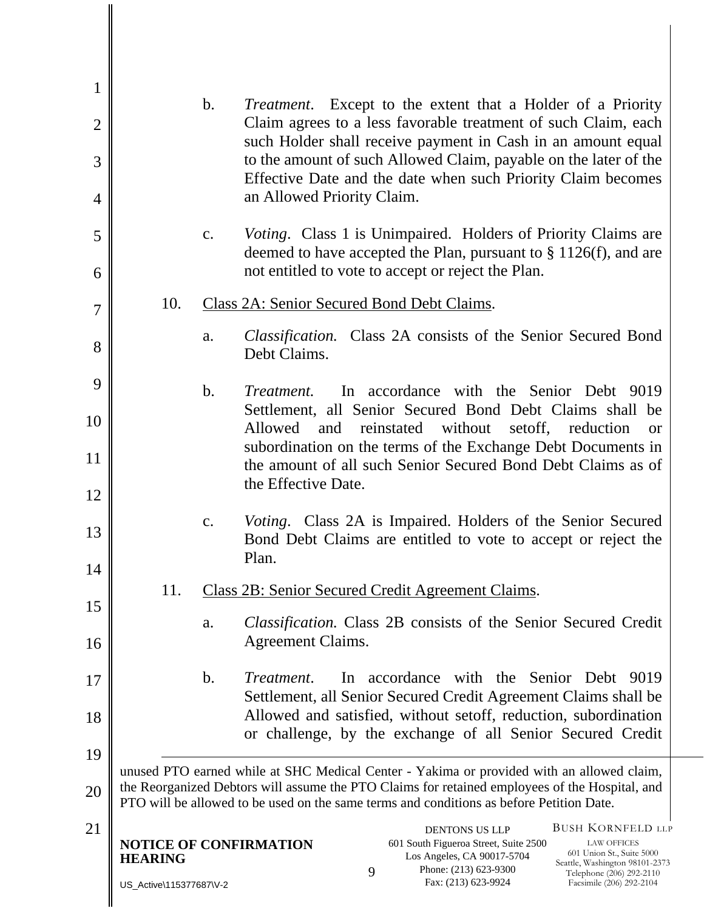| $\mathbf{1}$   |                                                 |                                                                                                                                                                                                                                                                                         |
|----------------|-------------------------------------------------|-----------------------------------------------------------------------------------------------------------------------------------------------------------------------------------------------------------------------------------------------------------------------------------------|
| $\overline{2}$ | $\mathbf b$ .                                   | <i>Treatment.</i> Except to the extent that a Holder of a Priority<br>Claim agrees to a less favorable treatment of such Claim, each<br>such Holder shall receive payment in Cash in an amount equal                                                                                    |
| 3              |                                                 | to the amount of such Allowed Claim, payable on the later of the<br>Effective Date and the date when such Priority Claim becomes                                                                                                                                                        |
| $\overline{4}$ |                                                 | an Allowed Priority Claim.                                                                                                                                                                                                                                                              |
| 5              | $C_{\bullet}$                                   | <i>Voting.</i> Class 1 is Unimpaired. Holders of Priority Claims are<br>deemed to have accepted the Plan, pursuant to $\S 1126(f)$ , and are                                                                                                                                            |
| 6              |                                                 | not entitled to vote to accept or reject the Plan.                                                                                                                                                                                                                                      |
| $\overline{7}$ | 10.                                             | Class 2A: Senior Secured Bond Debt Claims.                                                                                                                                                                                                                                              |
| 8              | a.                                              | <i>Classification.</i> Class 2A consists of the Senior Secured Bond<br>Debt Claims.                                                                                                                                                                                                     |
| 9              | $b$ .                                           | In accordance with the Senior Debt 9019<br>Treatment.                                                                                                                                                                                                                                   |
| 10             |                                                 | Settlement, all Senior Secured Bond Debt Claims shall be<br>Allowed<br>reinstated<br>without<br>set off, reduction<br>and<br><b>or</b>                                                                                                                                                  |
| 11             |                                                 | subordination on the terms of the Exchange Debt Documents in<br>the amount of all such Senior Secured Bond Debt Claims as of                                                                                                                                                            |
| 12             |                                                 | the Effective Date.                                                                                                                                                                                                                                                                     |
| 13             | $\mathbf{c}$ .                                  | <i>Voting.</i> Class 2A is Impaired. Holders of the Senior Secured<br>Bond Debt Claims are entitled to vote to accept or reject the<br>Plan.                                                                                                                                            |
| 14             |                                                 |                                                                                                                                                                                                                                                                                         |
| 15             | 11.                                             | <b>Class 2B: Senior Secured Credit Agreement Claims.</b>                                                                                                                                                                                                                                |
| 16             | a.                                              | Classification. Class 2B consists of the Senior Secured Credit<br><b>Agreement Claims.</b>                                                                                                                                                                                              |
| 17             | $\mathbf{b}$ .                                  | In accordance with the Senior Debt<br>Treatment.<br>9019<br>Settlement, all Senior Secured Credit Agreement Claims shall be                                                                                                                                                             |
| 18             |                                                 | Allowed and satisfied, without set ff, reduction, subordination<br>or challenge, by the exchange of all Senior Secured Credit                                                                                                                                                           |
| 19             |                                                 |                                                                                                                                                                                                                                                                                         |
| 20             |                                                 | unused PTO earned while at SHC Medical Center - Yakima or provided with an allowed claim,<br>the Reorganized Debtors will assume the PTO Claims for retained employees of the Hospital, and<br>PTO will be allowed to be used on the same terms and conditions as before Petition Date. |
| 21             | <b>NOTICE OF CONFIRMATION</b><br><b>HEARING</b> | <b>BUSH KORNFELD LLP</b><br><b>DENTONS US LLP</b><br>601 South Figueroa Street, Suite 2500<br><b>LAW OFFICES</b><br>601 Union St., Suite 5000<br>Los Angeles, CA 90017-5704<br>Seattle, Washington 98101-2373                                                                           |
|                | US_Active\115377687\V-2                         | Phone: (213) 623-9300<br>9<br>Telephone (206) 292-2110<br>Fax: (213) 623-9924<br>Facsimile (206) 292-2104                                                                                                                                                                               |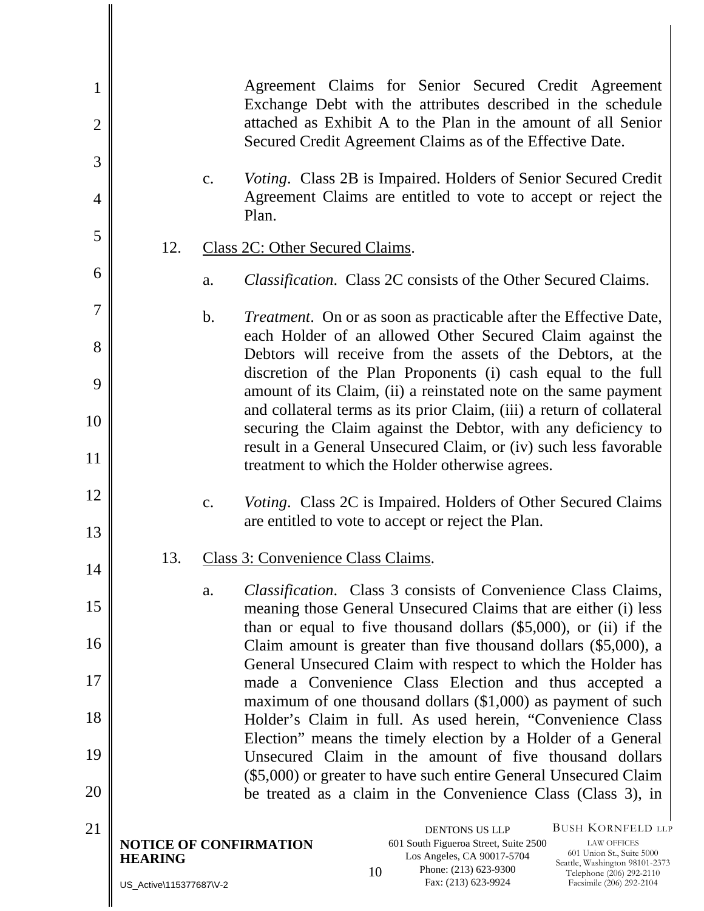| $\mathbf{1}$<br>$\overline{2}$ |                                                                                                                       | Agreement Claims for Senior Secured Credit Agreement<br>Exchange Debt with the attributes described in the schedule<br>attached as Exhibit A to the Plan in the amount of all Senior<br>Secured Credit Agreement Claims as of the Effective Date.                                                                           |  |  |  |
|--------------------------------|-----------------------------------------------------------------------------------------------------------------------|-----------------------------------------------------------------------------------------------------------------------------------------------------------------------------------------------------------------------------------------------------------------------------------------------------------------------------|--|--|--|
| 3                              |                                                                                                                       |                                                                                                                                                                                                                                                                                                                             |  |  |  |
| $\overline{4}$                 | c.                                                                                                                    | <i>Voting.</i> Class 2B is Impaired. Holders of Senior Secured Credit<br>Agreement Claims are entitled to vote to accept or reject the<br>Plan.                                                                                                                                                                             |  |  |  |
| 5                              |                                                                                                                       |                                                                                                                                                                                                                                                                                                                             |  |  |  |
|                                | 12.                                                                                                                   | Class 2C: Other Secured Claims.                                                                                                                                                                                                                                                                                             |  |  |  |
| 6                              | a.                                                                                                                    | <i>Classification.</i> Class 2C consists of the Other Secured Claims.                                                                                                                                                                                                                                                       |  |  |  |
| $\overline{7}$                 | $\mathbf b$ .                                                                                                         | Treatment. On or as soon as practicable after the Effective Date,                                                                                                                                                                                                                                                           |  |  |  |
| 8                              |                                                                                                                       | each Holder of an allowed Other Secured Claim against the<br>Debtors will receive from the assets of the Debtors, at the                                                                                                                                                                                                    |  |  |  |
| 9                              |                                                                                                                       | discretion of the Plan Proponents (i) cash equal to the full<br>amount of its Claim, (ii) a reinstated note on the same payment                                                                                                                                                                                             |  |  |  |
| 10                             |                                                                                                                       | and collateral terms as its prior Claim, (iii) a return of collateral<br>securing the Claim against the Debtor, with any deficiency to                                                                                                                                                                                      |  |  |  |
| 11                             |                                                                                                                       | result in a General Unsecured Claim, or (iv) such less favorable<br>treatment to which the Holder otherwise agrees.                                                                                                                                                                                                         |  |  |  |
| 12                             | $\mathbf{c}$ .                                                                                                        | <i>Voting.</i> Class 2C is Impaired. Holders of Other Secured Claims                                                                                                                                                                                                                                                        |  |  |  |
| 13                             |                                                                                                                       | are entitled to vote to accept or reject the Plan.                                                                                                                                                                                                                                                                          |  |  |  |
| 14                             | 13.                                                                                                                   | Class 3: Convenience Class Claims.                                                                                                                                                                                                                                                                                          |  |  |  |
| 15                             | a.                                                                                                                    | <i>Classification.</i> Class 3 consists of Convenience Class Claims,<br>meaning those General Unsecured Claims that are either (i) less                                                                                                                                                                                     |  |  |  |
| 16                             |                                                                                                                       | than or equal to five thousand dollars $(\$5,000)$ , or (ii) if the<br>Claim amount is greater than five thousand dollars $(\$5,000)$ , a                                                                                                                                                                                   |  |  |  |
| 17                             | General Unsecured Claim with respect to which the Holder has<br>made a Convenience Class Election and thus accepted a |                                                                                                                                                                                                                                                                                                                             |  |  |  |
| 18                             |                                                                                                                       | maximum of one thousand dollars $(\$1,000)$ as payment of such<br>Holder's Claim in full. As used herein, "Convenience Class"                                                                                                                                                                                               |  |  |  |
| 19                             |                                                                                                                       | Election" means the timely election by a Holder of a General<br>Unsecured Claim in the amount of five thousand dollars                                                                                                                                                                                                      |  |  |  |
|                                |                                                                                                                       | (\$5,000) or greater to have such entire General Unsecured Claim                                                                                                                                                                                                                                                            |  |  |  |
| 20                             |                                                                                                                       | be treated as a claim in the Convenience Class (Class 3), in                                                                                                                                                                                                                                                                |  |  |  |
| 21                             | <b>NOTICE OF CONFIRMATION</b><br><b>HEARING</b><br>US_Active\115377687\V-2                                            | <b>BUSH KORNFELD LLP</b><br><b>DENTONS US LLP</b><br>601 South Figueroa Street, Suite 2500<br><b>LAW OFFICES</b><br>601 Union St., Suite 5000<br>Los Angeles, CA 90017-5704<br>Seattle, Washington 98101-2373<br>Phone: (213) 623-9300<br>10<br>Telephone (206) 292-2110<br>Fax: (213) 623-9924<br>Facsimile (206) 292-2104 |  |  |  |
|                                |                                                                                                                       |                                                                                                                                                                                                                                                                                                                             |  |  |  |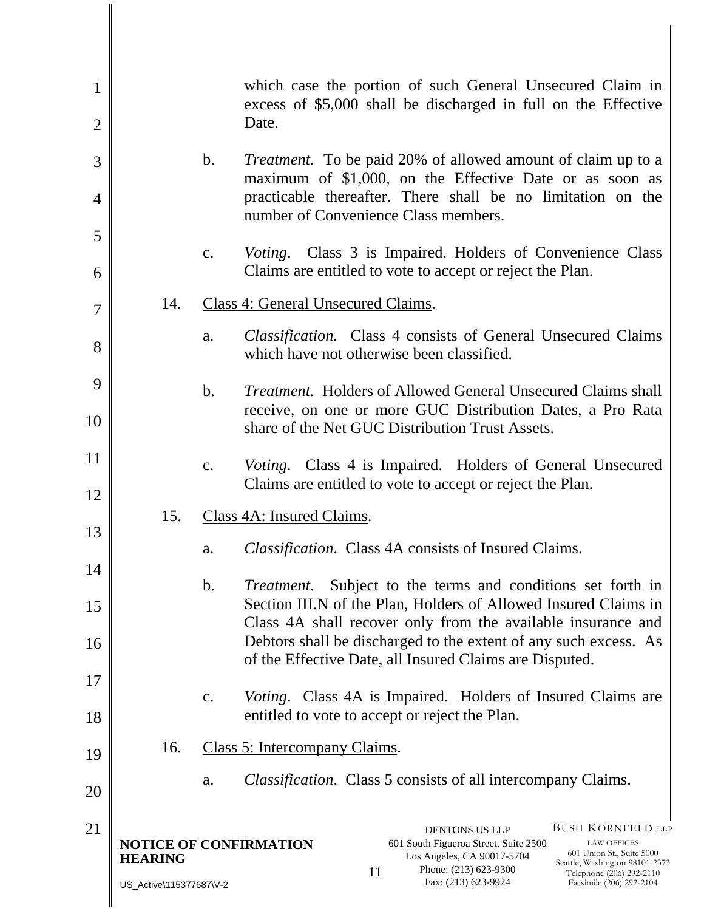| $\mathbf{1}$<br>$\overline{2}$ |                                           | which case the portion of such General Unsecured Claim in<br>excess of \$5,000 shall be discharged in full on the Effective<br>Date.                                                                                                                                                                                                                         |
|--------------------------------|-------------------------------------------|--------------------------------------------------------------------------------------------------------------------------------------------------------------------------------------------------------------------------------------------------------------------------------------------------------------------------------------------------------------|
| 3                              |                                           | $\mathbf{b}$ .<br><i>Treatment.</i> To be paid 20% of allowed amount of claim up to a                                                                                                                                                                                                                                                                        |
| $\overline{4}$                 |                                           | maximum of \$1,000, on the Effective Date or as soon as<br>practicable thereafter. There shall be no limitation on the<br>number of Convenience Class members.                                                                                                                                                                                               |
| 5                              |                                           | <i>Voting.</i> Class 3 is Impaired. Holders of Convenience Class<br>c.                                                                                                                                                                                                                                                                                       |
| 6                              |                                           | Claims are entitled to vote to accept or reject the Plan.                                                                                                                                                                                                                                                                                                    |
| $\overline{7}$                 | 14.                                       | Class 4: General Unsecured Claims.                                                                                                                                                                                                                                                                                                                           |
| 8                              |                                           | <b>Classification.</b> Class 4 consists of General Unsecured Claims<br>a.<br>which have not otherwise been classified.                                                                                                                                                                                                                                       |
| 9                              |                                           | <i>Treatment.</i> Holders of Allowed General Unsecured Claims shall<br>$\mathbf b$ .                                                                                                                                                                                                                                                                         |
| 10                             |                                           | receive, on one or more GUC Distribution Dates, a Pro Rata<br>share of the Net GUC Distribution Trust Assets.                                                                                                                                                                                                                                                |
| 11                             |                                           | Voting. Class 4 is Impaired. Holders of General Unsecured<br>c.<br>Claims are entitled to vote to accept or reject the Plan.                                                                                                                                                                                                                                 |
| 12                             | 15.                                       | Class 4A: Insured Claims.                                                                                                                                                                                                                                                                                                                                    |
| 13                             |                                           | <i>Classification.</i> Class 4A consists of Insured Claims.<br>a.                                                                                                                                                                                                                                                                                            |
| 14                             |                                           | $\mathbf b$ .<br>Subject to the terms and conditions set forth in<br><i>Treatment.</i>                                                                                                                                                                                                                                                                       |
| 15                             |                                           | Section III.N of the Plan, Holders of Allowed Insured Claims in<br>Class 4A shall recover only from the available insurance and                                                                                                                                                                                                                              |
| 16                             |                                           | Debtors shall be discharged to the extent of any such excess. As                                                                                                                                                                                                                                                                                             |
| 17                             |                                           | of the Effective Date, all Insured Claims are Disputed.                                                                                                                                                                                                                                                                                                      |
| 18                             |                                           | <i>Voting.</i> Class 4A is Impaired. Holders of Insured Claims are<br>c.<br>entitled to vote to accept or reject the Plan.                                                                                                                                                                                                                                   |
| 19                             | 16.                                       | Class 5: Intercompany Claims.                                                                                                                                                                                                                                                                                                                                |
| 20                             |                                           | <i>Classification.</i> Class 5 consists of all intercompany Claims.<br>a.                                                                                                                                                                                                                                                                                    |
| 21                             | <b>HEARING</b><br>US_Active\115377687\V-2 | <b>BUSH KORNFELD LLP</b><br><b>DENTONS US LLP</b><br><b>NOTICE OF CONFIRMATION</b><br>601 South Figueroa Street, Suite 2500<br><b>LAW OFFICES</b><br>601 Union St., Suite 5000<br>Los Angeles, CA 90017-5704<br>Seattle, Washington 98101-2373<br>Phone: (213) 623-9300<br>11<br>Telephone (206) 292-2110<br>Fax: (213) 623-9924<br>Facsimile (206) 292-2104 |

I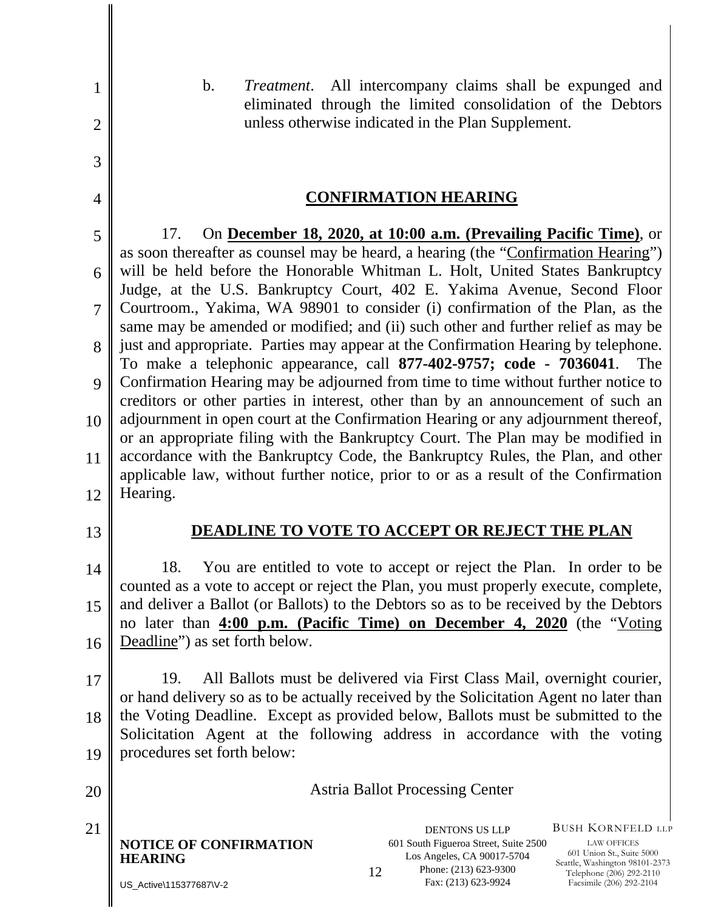| $\mathbf{1}$   | $\mathbf b$ .<br><i>Treatment.</i> All intercompany claims shall be expunged and<br>eliminated through the limited consolidation of the Debtors                                                                                                                                                                                                                                                                                                                                                  |  |  |  |  |
|----------------|--------------------------------------------------------------------------------------------------------------------------------------------------------------------------------------------------------------------------------------------------------------------------------------------------------------------------------------------------------------------------------------------------------------------------------------------------------------------------------------------------|--|--|--|--|
| $\overline{2}$ | unless otherwise indicated in the Plan Supplement.                                                                                                                                                                                                                                                                                                                                                                                                                                               |  |  |  |  |
| 3              |                                                                                                                                                                                                                                                                                                                                                                                                                                                                                                  |  |  |  |  |
| $\overline{4}$ | <b>CONFIRMATION HEARING</b>                                                                                                                                                                                                                                                                                                                                                                                                                                                                      |  |  |  |  |
| 5              | On <b>December 18, 2020, at 10:00 a.m. (Prevailing Pacific Time)</b> , or<br>17.<br>as soon thereafter as counsel may be heard, a hearing (the "Confirmation Hearing")                                                                                                                                                                                                                                                                                                                           |  |  |  |  |
| 6              | will be held before the Honorable Whitman L. Holt, United States Bankruptcy<br>Judge, at the U.S. Bankruptcy Court, 402 E. Yakima Avenue, Second Floor<br>Courtroom., Yakima, WA 98901 to consider (i) confirmation of the Plan, as the<br>same may be amended or modified; and (ii) such other and further relief as may be<br>just and appropriate. Parties may appear at the Confirmation Hearing by telephone.<br>To make a telephonic appearance, call 877-402-9757; code - 7036041.<br>The |  |  |  |  |
| $\overline{7}$ |                                                                                                                                                                                                                                                                                                                                                                                                                                                                                                  |  |  |  |  |
| 8              |                                                                                                                                                                                                                                                                                                                                                                                                                                                                                                  |  |  |  |  |
| 9              | Confirmation Hearing may be adjourned from time to time without further notice to<br>creditors or other parties in interest, other than by an announcement of such an<br>adjournment in open court at the Confirmation Hearing or any adjournment thereof,<br>or an appropriate filing with the Bankruptcy Court. The Plan may be modified in                                                                                                                                                    |  |  |  |  |
| 10             |                                                                                                                                                                                                                                                                                                                                                                                                                                                                                                  |  |  |  |  |
| 11             | accordance with the Bankruptcy Code, the Bankruptcy Rules, the Plan, and other<br>applicable law, without further notice, prior to or as a result of the Confirmation                                                                                                                                                                                                                                                                                                                            |  |  |  |  |
| 12             | Hearing.                                                                                                                                                                                                                                                                                                                                                                                                                                                                                         |  |  |  |  |
| 13             | DEADLINE TO VOTE TO ACCEPT OR REJECT THE PLAN                                                                                                                                                                                                                                                                                                                                                                                                                                                    |  |  |  |  |
| 14             | You are entitled to vote to accept or reject the Plan. In order to be<br>18.<br>counted as a vote to accept or reject the Plan, you must properly execute, complete,<br>and deliver a Ballot (or Ballots) to the Debtors so as to be received by the Debtors<br>no later than <b>4:00 p.m.</b> (Pacific Time) on December 4, 2020 (the "Voting                                                                                                                                                   |  |  |  |  |
| 15             |                                                                                                                                                                                                                                                                                                                                                                                                                                                                                                  |  |  |  |  |
| 16             | Deadline") as set forth below.                                                                                                                                                                                                                                                                                                                                                                                                                                                                   |  |  |  |  |
| 17             | All Ballots must be delivered via First Class Mail, overnight courier,<br>19.<br>or hand delivery so as to be actually received by the Solicitation Agent no later than<br>the Voting Deadline. Except as provided below, Ballots must be submitted to the<br>Solicitation Agent at the following address in accordance with the voting                                                                                                                                                          |  |  |  |  |
| 18             |                                                                                                                                                                                                                                                                                                                                                                                                                                                                                                  |  |  |  |  |
| 19             | procedures set forth below:                                                                                                                                                                                                                                                                                                                                                                                                                                                                      |  |  |  |  |
| 20             | <b>Astria Ballot Processing Center</b>                                                                                                                                                                                                                                                                                                                                                                                                                                                           |  |  |  |  |
| 21             | <b>BUSH KORNFELD LLP</b><br><b>DENTONS US LLP</b><br><b>NOTICE OF CONFIRMATION</b><br>601 South Figueroa Street, Suite 2500<br><b>LAW OFFICES</b><br>601 Union St., Suite 5000<br>Los Angeles, CA 90017-5704<br><b>HEARING</b><br>Seattle, Washington 98101-2373<br>Phone: (213) 623-9300<br>12<br>Telephone (206) 292-2110<br>Fax: (213) 623-9924                                                                                                                                               |  |  |  |  |
|                | Facsimile (206) 292-2104<br>US Active\115377687\V-2                                                                                                                                                                                                                                                                                                                                                                                                                                              |  |  |  |  |

US\_Active\115377687\V-2

║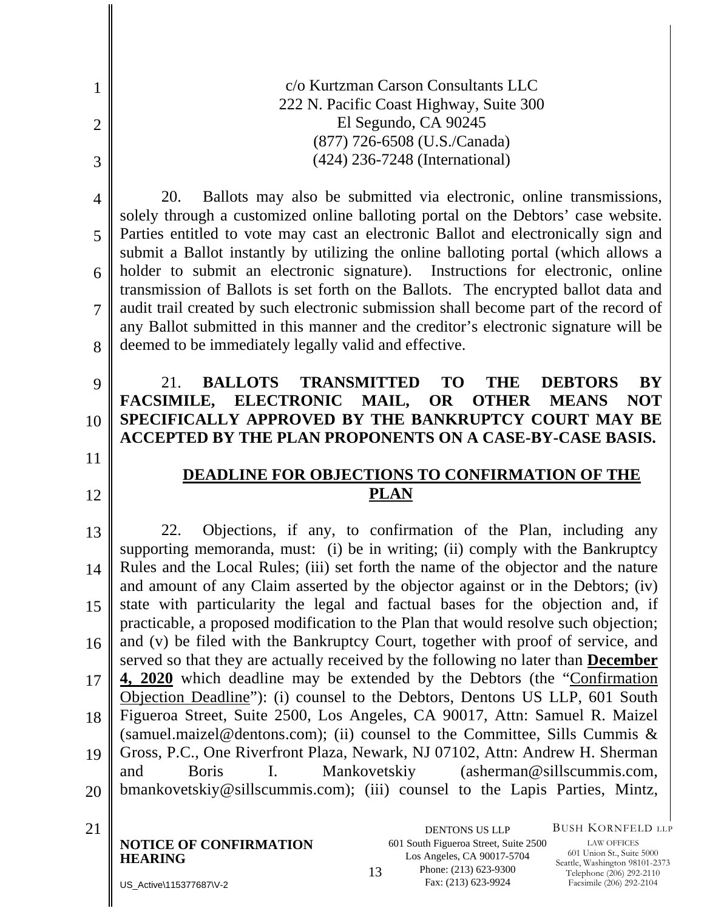c/o Kurtzman Carson Consultants LLC 222 N. Pacific Coast Highway, Suite 300 El Segundo, CA 90245 (877) 726-6508 (U.S./Canada) (424) 236-7248 (International)

4 20. Ballots may also be submitted via electronic, online transmissions, solely through a customized online balloting portal on the Debtors' case website. Parties entitled to vote may cast an electronic Ballot and electronically sign and submit a Ballot instantly by utilizing the online balloting portal (which allows a holder to submit an electronic signature). Instructions for electronic, online transmission of Ballots is set forth on the Ballots. The encrypted ballot data and audit trail created by such electronic submission shall become part of the record of any Ballot submitted in this manner and the creditor's electronic signature will be deemed to be immediately legally valid and effective.

#### 9 10 21. **BALLOTS TRANSMITTED TO THE DEBTORS BY FACSIMILE, ELECTRONIC MAIL, OR OTHER MEANS NOT SPECIFICALLY APPROVED BY THE BANKRUPTCY COURT MAY BE ACCEPTED BY THE PLAN PROPONENTS ON A CASE-BY-CASE BASIS.**

11

12

1

2

3

5

6

7

8

## **DEADLINE FOR OBJECTIONS TO CONFIRMATION OF THE PLAN**

13 14 15 16 17 18 19 20 22. Objections, if any, to confirmation of the Plan, including any supporting memoranda, must: (i) be in writing; (ii) comply with the Bankruptcy Rules and the Local Rules; (iii) set forth the name of the objector and the nature and amount of any Claim asserted by the objector against or in the Debtors; (iv) state with particularity the legal and factual bases for the objection and, if practicable, a proposed modification to the Plan that would resolve such objection; and (v) be filed with the Bankruptcy Court, together with proof of service, and served so that they are actually received by the following no later than **December 4, 2020** which deadline may be extended by the Debtors (the "Confirmation Objection Deadline"): (i) counsel to the Debtors, Dentons US LLP, 601 South Figueroa Street, Suite 2500, Los Angeles, CA 90017, Attn: Samuel R. Maizel (samuel.maizel@dentons.com); (ii) counsel to the Committee, Sills Cummis  $\&$ Gross, P.C., One Riverfront Plaza, Newark, NJ 07102, Attn: Andrew H. Sherman and Boris I. Mankovetskiy (asherman@sillscummis.com, bmankovetskiy@sillscummis.com); (iii) counsel to the Lapis Parties, Mintz,

**NOTICE OF CONFIRMATION HEARING** 1321 DENTONS US LLP

601 South Figueroa Street, Suite 2500 Los Angeles, CA 90017-5704 Phone: (213) 623-9300 Fax: (213) 623-9924

BUSH KORNFELD LLP

LAW OFFICES 601 Union St., Suite 5000 Seattle, Washington 98101-2373 Telephone (206) 292-2110 Facsimile (206) 292-2104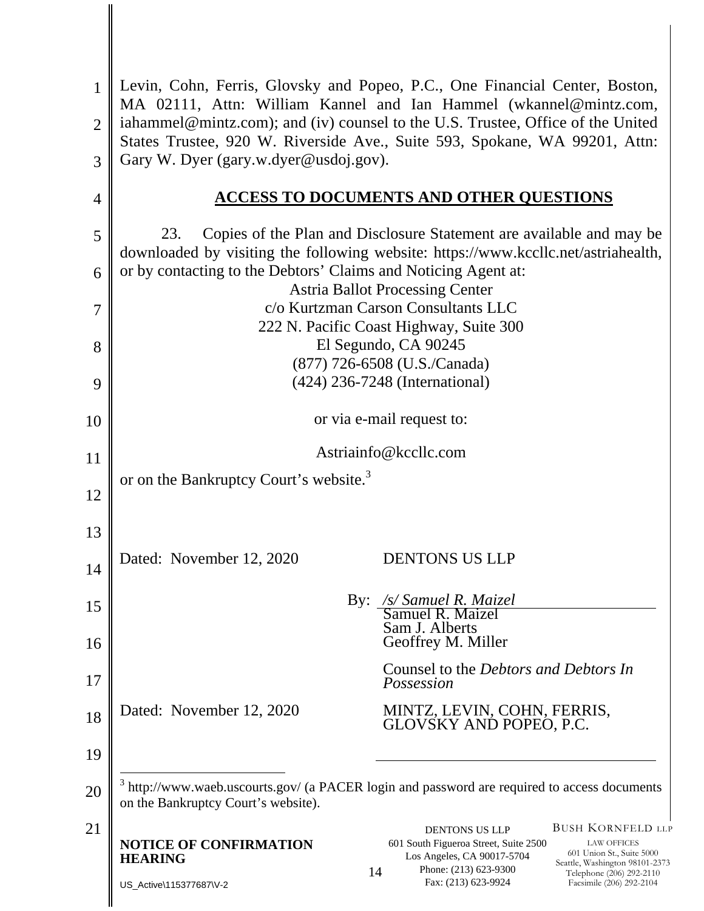| 1              | Levin, Cohn, Ferris, Glovsky and Popeo, P.C., One Financial Center, Boston,<br>MA 02111, Attn: William Kannel and Ian Hammel (wkannel@mintz.com,                  |                                                                                                               |  |  |  |
|----------------|-------------------------------------------------------------------------------------------------------------------------------------------------------------------|---------------------------------------------------------------------------------------------------------------|--|--|--|
| $\overline{2}$ | iahammel@mintz.com); and (iv) counsel to the U.S. Trustee, Office of the United<br>States Trustee, 920 W. Riverside Ave., Suite 593, Spokane, WA 99201, Attn:     |                                                                                                               |  |  |  |
| 3              | Gary W. Dyer (gary.w.dyer@usdoj.gov).                                                                                                                             |                                                                                                               |  |  |  |
| $\overline{4}$ | <b>ACCESS TO DOCUMENTS AND OTHER QUESTIONS</b>                                                                                                                    |                                                                                                               |  |  |  |
| 5              | 23.<br>Copies of the Plan and Disclosure Statement are available and may be<br>downloaded by visiting the following website: https://www.kccllc.net/astriahealth, |                                                                                                               |  |  |  |
| 6              | or by contacting to the Debtors' Claims and Noticing Agent at:<br><b>Astria Ballot Processing Center</b>                                                          |                                                                                                               |  |  |  |
| $\overline{7}$ | c/o Kurtzman Carson Consultants LLC                                                                                                                               |                                                                                                               |  |  |  |
| 8              | 222 N. Pacific Coast Highway, Suite 300<br>El Segundo, CA 90245                                                                                                   |                                                                                                               |  |  |  |
| 9              | (877) 726-6508 (U.S./Canada)<br>(424) 236-7248 (International)                                                                                                    |                                                                                                               |  |  |  |
| 10             | or via e-mail request to:                                                                                                                                         |                                                                                                               |  |  |  |
| 11             | Astriainfo@kccllc.com                                                                                                                                             |                                                                                                               |  |  |  |
| 12             | or on the Bankruptcy Court's website. <sup>3</sup>                                                                                                                |                                                                                                               |  |  |  |
| 13             |                                                                                                                                                                   |                                                                                                               |  |  |  |
|                | Dated: November 12, 2020<br><b>DENTONS US LLP</b>                                                                                                                 |                                                                                                               |  |  |  |
| 14             |                                                                                                                                                                   |                                                                                                               |  |  |  |
| 15             | By: /s/ Samuel R. Maizel<br>Samuel R. Maizel<br>Sam J. Alberts                                                                                                    |                                                                                                               |  |  |  |
| 16             | Geoffrey M. Miller                                                                                                                                                |                                                                                                               |  |  |  |
| 17             | Counsel to the <i>Debtors and Debtors In</i><br>Possession                                                                                                        |                                                                                                               |  |  |  |
| 18             | Dated: November 12, 2020<br>MINTZ, LEVIN, COHN, FERRIS,<br>GLOVSKY AND POPEO, P.C.                                                                                |                                                                                                               |  |  |  |
| 19             |                                                                                                                                                                   |                                                                                                               |  |  |  |
| 20             | $3$ http://www.waeb.uscourts.gov/ (a PACER login and password are required to access documents<br>on the Bankruptcy Court's website).                             |                                                                                                               |  |  |  |
| 21             | <b>DENTONS US LLP</b><br><b>NOTICE OF CONFIRMATION</b><br>601 South Figueroa Street, Suite 2500<br>Los Angeles, CA 90017-5704<br><b>HEARING</b>                   | <b>BUSH KORNFELD LLP</b><br><b>LAW OFFICES</b><br>601 Union St., Suite 5000<br>Seattle, Washington 98101-2373 |  |  |  |
|                | Phone: (213) 623-9300<br>14<br>Fax: (213) 623-9924<br>US_Active\115377687\V-2                                                                                     | Telephone (206) 292-2110<br>Facsimile (206) 292-2104                                                          |  |  |  |
|                |                                                                                                                                                                   |                                                                                                               |  |  |  |